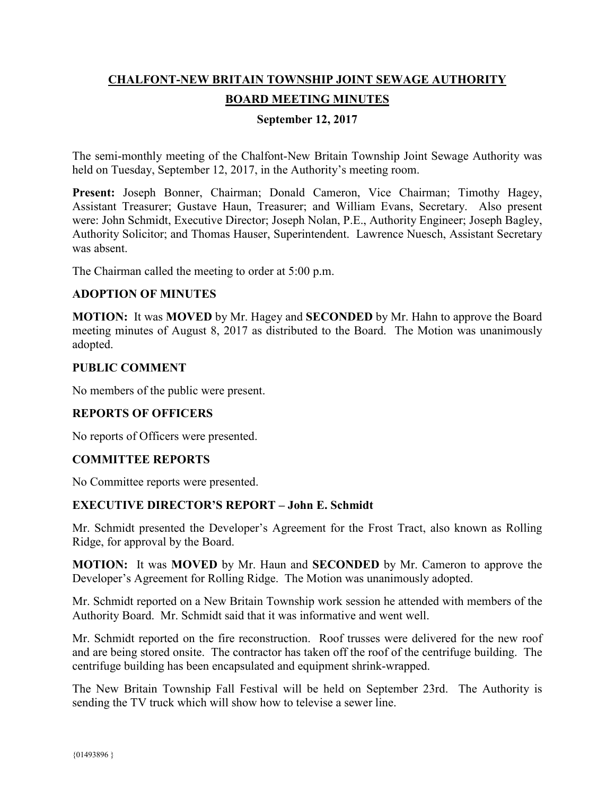# **CHALFONT-NEW BRITAIN TOWNSHIP JOINT SEWAGE AUTHORITY BOARD MEETING MINUTES**

## **September 12, 2017**

The semi-monthly meeting of the Chalfont-New Britain Township Joint Sewage Authority was held on Tuesday, September 12, 2017, in the Authority's meeting room.

Present: Joseph Bonner, Chairman; Donald Cameron, Vice Chairman; Timothy Hagey, Assistant Treasurer; Gustave Haun, Treasurer; and William Evans, Secretary. Also present were: John Schmidt, Executive Director; Joseph Nolan, P.E., Authority Engineer; Joseph Bagley, Authority Solicitor; and Thomas Hauser, Superintendent. Lawrence Nuesch, Assistant Secretary was absent.

The Chairman called the meeting to order at 5:00 p.m.

## **ADOPTION OF MINUTES**

**MOTION:** It was **MOVED** by Mr. Hagey and **SECONDED** by Mr. Hahn to approve the Board meeting minutes of August 8, 2017 as distributed to the Board. The Motion was unanimously adopted.

#### **PUBLIC COMMENT**

No members of the public were present.

#### **REPORTS OF OFFICERS**

No reports of Officers were presented.

#### **COMMITTEE REPORTS**

No Committee reports were presented.

#### **EXECUTIVE DIRECTOR'S REPORT – John E. Schmidt**

Mr. Schmidt presented the Developer's Agreement for the Frost Tract, also known as Rolling Ridge, for approval by the Board.

**MOTION:** It was **MOVED** by Mr. Haun and **SECONDED** by Mr. Cameron to approve the Developer's Agreement for Rolling Ridge. The Motion was unanimously adopted.

Mr. Schmidt reported on a New Britain Township work session he attended with members of the Authority Board. Mr. Schmidt said that it was informative and went well.

Mr. Schmidt reported on the fire reconstruction. Roof trusses were delivered for the new roof and are being stored onsite. The contractor has taken off the roof of the centrifuge building. The centrifuge building has been encapsulated and equipment shrink-wrapped.

The New Britain Township Fall Festival will be held on September 23rd. The Authority is sending the TV truck which will show how to televise a sewer line.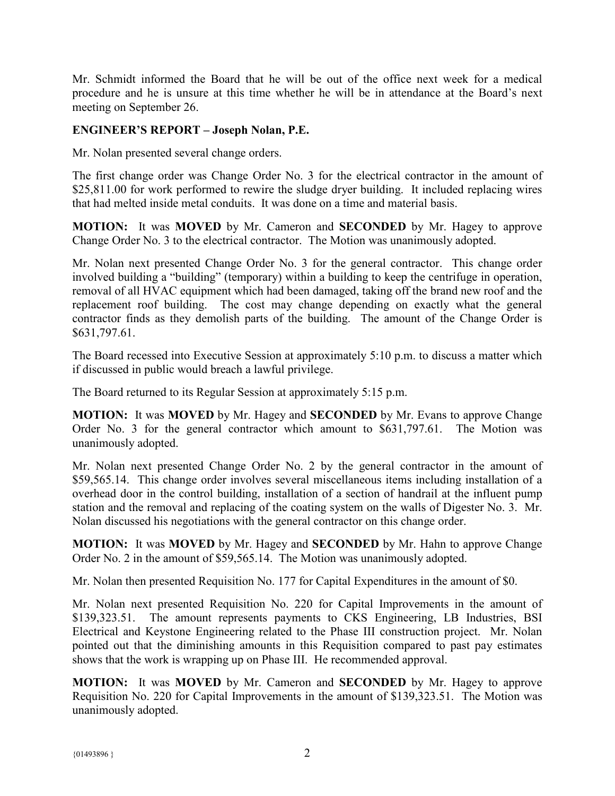Mr. Schmidt informed the Board that he will be out of the office next week for a medical procedure and he is unsure at this time whether he will be in attendance at the Board's next meeting on September 26.

# **ENGINEER'S REPORT – Joseph Nolan, P.E.**

Mr. Nolan presented several change orders.

The first change order was Change Order No. 3 for the electrical contractor in the amount of \$25,811.00 for work performed to rewire the sludge dryer building. It included replacing wires that had melted inside metal conduits. It was done on a time and material basis.

**MOTION:** It was **MOVED** by Mr. Cameron and **SECONDED** by Mr. Hagey to approve Change Order No. 3 to the electrical contractor. The Motion was unanimously adopted.

Mr. Nolan next presented Change Order No. 3 for the general contractor. This change order involved building a "building" (temporary) within a building to keep the centrifuge in operation, removal of all HVAC equipment which had been damaged, taking off the brand new roof and the replacement roof building. The cost may change depending on exactly what the general contractor finds as they demolish parts of the building. The amount of the Change Order is \$631,797.61.

The Board recessed into Executive Session at approximately 5:10 p.m. to discuss a matter which if discussed in public would breach a lawful privilege.

The Board returned to its Regular Session at approximately 5:15 p.m.

**MOTION:** It was **MOVED** by Mr. Hagey and **SECONDED** by Mr. Evans to approve Change Order No. 3 for the general contractor which amount to \$631,797.61. The Motion was unanimously adopted.

Mr. Nolan next presented Change Order No. 2 by the general contractor in the amount of \$59,565.14. This change order involves several miscellaneous items including installation of a overhead door in the control building, installation of a section of handrail at the influent pump station and the removal and replacing of the coating system on the walls of Digester No. 3. Mr. Nolan discussed his negotiations with the general contractor on this change order.

**MOTION:** It was **MOVED** by Mr. Hagey and **SECONDED** by Mr. Hahn to approve Change Order No. 2 in the amount of \$59,565.14. The Motion was unanimously adopted.

Mr. Nolan then presented Requisition No. 177 for Capital Expenditures in the amount of \$0.

Mr. Nolan next presented Requisition No. 220 for Capital Improvements in the amount of \$139,323.51. The amount represents payments to CKS Engineering, LB Industries, BSI Electrical and Keystone Engineering related to the Phase III construction project. Mr. Nolan pointed out that the diminishing amounts in this Requisition compared to past pay estimates shows that the work is wrapping up on Phase III. He recommended approval.

**MOTION:** It was **MOVED** by Mr. Cameron and **SECONDED** by Mr. Hagey to approve Requisition No. 220 for Capital Improvements in the amount of \$139,323.51. The Motion was unanimously adopted.